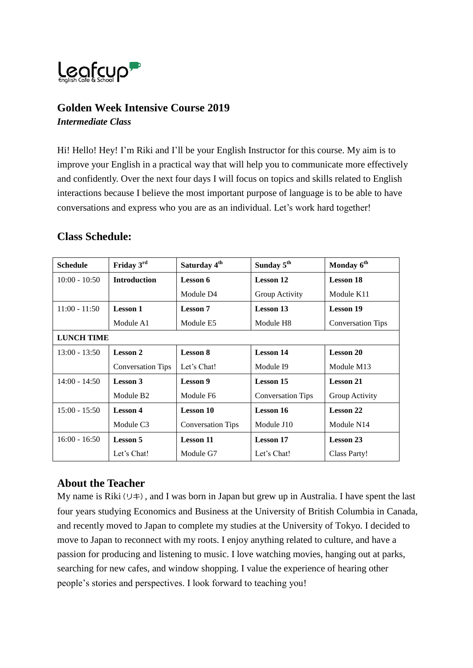

## **Golden Week Intensive Course 2019** *Intermediate Class*

Hi! Hello! Hey! I'm Riki and I'll be your English Instructor for this course. My aim is to improve your English in a practical way that will help you to communicate more effectively and confidently. Over the next four days I will focus on topics and skills related to English interactions because I believe the most important purpose of language is to be able to have conversations and express who you are as an individual. Let's work hard together!

# **Class Schedule:**

| <b>Schedule</b>   | Friday 3rd               | Saturday 4 <sup>th</sup> | Sunday 5 <sup>th</sup>   | Monday 6 <sup>th</sup>   |
|-------------------|--------------------------|--------------------------|--------------------------|--------------------------|
| $10:00 - 10:50$   | <b>Introduction</b>      | Lesson 6                 | <b>Lesson 12</b>         | <b>Lesson 18</b>         |
|                   |                          | Module D4                | Group Activity           | Module K11               |
| $11:00 - 11:50$   | <b>Lesson 1</b>          | <b>Lesson</b> 7          | <b>Lesson 13</b>         | <b>Lesson 19</b>         |
|                   | Module A1                | Module E5                | Module H <sub>8</sub>    | <b>Conversation Tips</b> |
| <b>LUNCH TIME</b> |                          |                          |                          |                          |
| $13:00 - 13:50$   | <b>Lesson 2</b>          | <b>Lesson 8</b>          | <b>Lesson 14</b>         | <b>Lesson 20</b>         |
|                   | <b>Conversation Tips</b> | Let's Chat!              | Module I9                | Module M13               |
| $14:00 - 14:50$   | <b>Lesson 3</b>          | Lesson 9                 | <b>Lesson 15</b>         | <b>Lesson 21</b>         |
|                   | Module B <sub>2</sub>    | Module F6                | <b>Conversation Tips</b> | Group Activity           |
| $15:00 - 15:50$   | <b>Lesson 4</b>          | <b>Lesson 10</b>         | <b>Lesson 16</b>         | <b>Lesson 22</b>         |
|                   | Module C3                | <b>Conversation Tips</b> | Module J10               | Module N14               |
| $16:00 - 16:50$   | <b>Lesson 5</b>          | <b>Lesson 11</b>         | <b>Lesson 17</b>         | <b>Lesson 23</b>         |
|                   | Let's Chat!              | Module G7                | Let's Chat!              | <b>Class Party!</b>      |

# **About the Teacher**

My name is Riki( $\cup \neq$ ), and I was born in Japan but grew up in Australia. I have spent the last four years studying Economics and Business at the University of British Columbia in Canada, and recently moved to Japan to complete my studies at the University of Tokyo. I decided to move to Japan to reconnect with my roots. I enjoy anything related to culture, and have a passion for producing and listening to music. I love watching movies, hanging out at parks, searching for new cafes, and window shopping. I value the experience of hearing other people's stories and perspectives. I look forward to teaching you!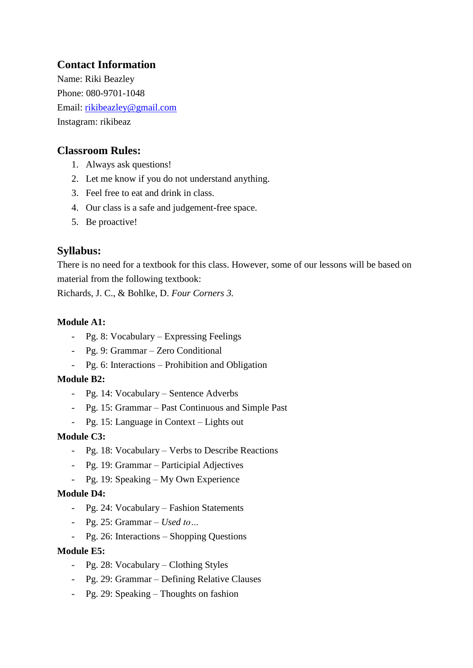# **Contact Information**

Name: Riki Beazley Phone: 080-9701-1048 Email: [rikibeazley@gmail.com](mailto:rikibeazley@gmail.com) Instagram: rikibeaz

## **Classroom Rules:**

- 1. Always ask questions!
- 2. Let me know if you do not understand anything.
- 3. Feel free to eat and drink in class.
- 4. Our class is a safe and judgement-free space.
- 5. Be proactive!

# **Syllabus:**

There is no need for a textbook for this class. However, some of our lessons will be based on material from the following textbook:

Richards, J. C., & Bohlke, D. *Four Corners 3.*

## **Module A1:**

- Pg. 8: Vocabulary Expressing Feelings
- Pg. 9: Grammar Zero Conditional
- Pg. 6: Interactions Prohibition and Obligation

## **Module B2:**

- Pg. 14: Vocabulary Sentence Adverbs
- Pg. 15: Grammar Past Continuous and Simple Past
- Pg. 15: Language in Context Lights out

## **Module C3:**

- Pg. 18: Vocabulary Verbs to Describe Reactions
- Pg. 19: Grammar Participial Adjectives
- Pg. 19: Speaking My Own Experience

## **Module D4:**

- Pg. 24: Vocabulary Fashion Statements
- Pg. 25: Grammar *Used to…*
- Pg. 26: Interactions Shopping Questions

## **Module E5:**

- Pg. 28: Vocabulary Clothing Styles
- Pg. 29: Grammar Defining Relative Clauses
- Pg. 29: Speaking Thoughts on fashion